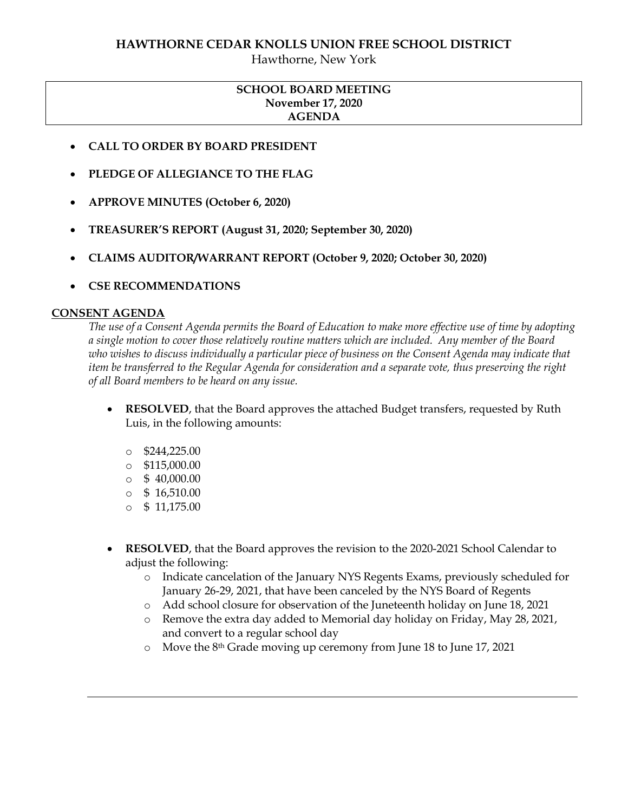## **HAWTHORNE CEDAR KNOLLS UNION FREE SCHOOL DISTRICT**

Hawthorne, New York

# **SCHOOL BOARD MEETING November 17, 2020 AGENDA**

- **CALL TO ORDER BY BOARD PRESIDENT**
- **PLEDGE OF ALLEGIANCE TO THE FLAG**
- **APPROVE MINUTES (October 6, 2020)**
- **TREASURER'S REPORT (August 31, 2020; September 30, 2020)**
- **CLAIMS AUDITOR/WARRANT REPORT (October 9, 2020; October 30, 2020)**
- **CSE RECOMMENDATIONS**

#### **CONSENT AGENDA**

*The use of a Consent Agenda permits the Board of Education to make more effective use of time by adopting a single motion to cover those relatively routine matters which are included. Any member of the Board who wishes to discuss individually a particular piece of business on the Consent Agenda may indicate that item be transferred to the Regular Agenda for consideration and a separate vote, thus preserving the right of all Board members to be heard on any issue.* 

- **RESOLVED**, that the Board approves the attached Budget transfers, requested by Ruth Luis, in the following amounts:
	- $\circ$  \$244,225.00
	- o \$115,000.00
	- $\circ$  \$ 40,000.00
	- $\circ$  \$ 16,510.00
	- $\circ$  \$ 11,175.00
- **RESOLVED**, that the Board approves the revision to the 2020-2021 School Calendar to adjust the following:
	- o Indicate cancelation of the January NYS Regents Exams, previously scheduled for January 26-29, 2021, that have been canceled by the NYS Board of Regents
	- o Add school closure for observation of the Juneteenth holiday on June 18, 2021
	- o Remove the extra day added to Memorial day holiday on Friday, May 28, 2021, and convert to a regular school day
	- o Move the 8th Grade moving up ceremony from June 18 to June 17, 2021